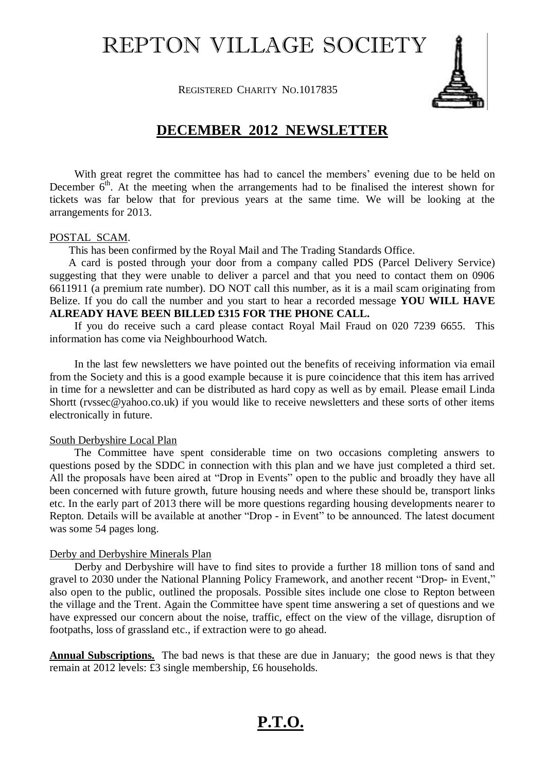# REPTON VILLAGE SOCIETY

**REGISTERED CHARITY NO.1017835** 



### **DECEMBER 2012 NEWSLETTER**

With great regret the committee has had to cancel the members' evening due to be held on December  $6<sup>th</sup>$ . At the meeting when the arrangements had to be finalised the interest shown for tickets was far below that for previous years at the same time. We will be looking at the arrangements for 2013.

#### POSTAL SCAM.

This has been confirmed by the Royal Mail and The Trading Standards Office.

 A card is posted through your door from a company called PDS (Parcel Delivery Service) suggesting that they were unable to deliver a parcel and that you need to contact them on 0906 6611911 (a premium rate number). DO NOT call this number, as it is a mail scam originating from Belize. If you do call the number and you start to hear a recorded message **YOU WILL HAVE ALREADY HAVE BEEN BILLED £315 FOR THE PHONE CALL.**

If you do receive such a card please contact Royal Mail Fraud on 020 7239 6655. This information has come via Neighbourhood Watch.

In the last few newsletters we have pointed out the benefits of receiving information via email from the Society and this is a good example because it is pure coincidence that this item has arrived in time for a newsletter and can be distributed as hard copy as well as by email. Please email Linda Shortt (rvssec@yahoo.co.uk) if you would like to receive newsletters and these sorts of other items electronically in future.

#### South Derbyshire Local Plan

The Committee have spent considerable time on two occasions completing answers to questions posed by the SDDC in connection with this plan and we have just completed a third set. All the proposals have been aired at "Drop in Events" open to the public and broadly they have all been concerned with future growth, future housing needs and where these should be, transport links etc. In the early part of 2013 there will be more questions regarding housing developments nearer to Repton. Details will be available at another "Drop - in Event" to be announced. The latest document was some 54 pages long.

#### Derby and Derbyshire Minerals Plan

Derby and Derbyshire will have to find sites to provide a further 18 million tons of sand and gravel to 2030 under the National Planning Policy Framework, and another recent "Drop- in Event," also open to the public, outlined the proposals. Possible sites include one close to Repton between the village and the Trent. Again the Committee have spent time answering a set of questions and we have expressed our concern about the noise, traffic, effect on the view of the village, disruption of footpaths, loss of grassland etc., if extraction were to go ahead.

**Annual Subscriptions.** The bad news is that these are due in January; the good news is that they remain at 2012 levels: £3 single membership, £6 households.

## **P.T.O.**